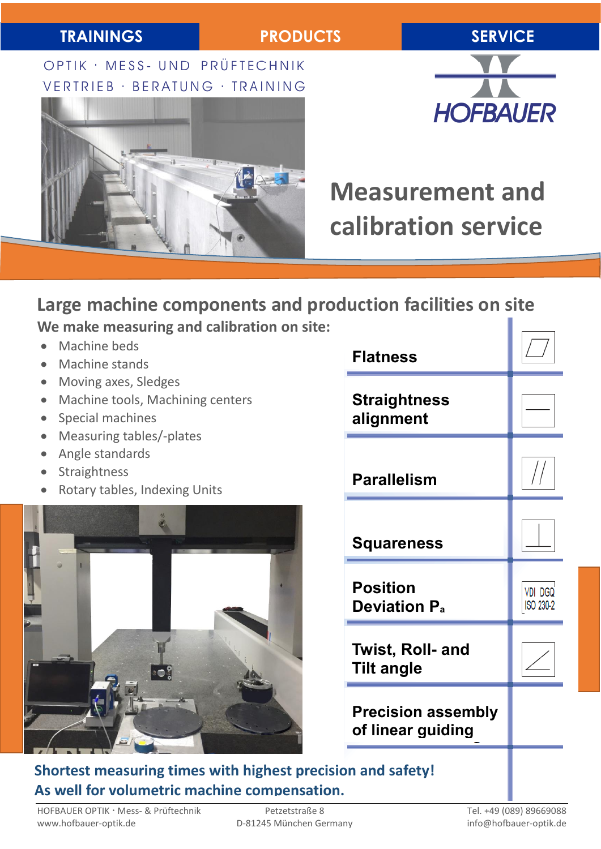OPTIK · MESS- UND PRÜFTECHNIK VERTRIEB · BERATUNG · TRAINING





# **Measurement and calibration service**

# **Large machine components and production facilities on site We make measuring and calibration on site:**

- Machine beds
- Machine stands
- Moving axes, Sledges
- Machine tools, Machining centers
- Special machines
- Measuring tables/-plates
- Angle standards
- **Straightness**
- Rotary tables, Indexing Units



| <b>Flatness</b>                                   |                             |
|---------------------------------------------------|-----------------------------|
| <b>Straightness</b><br>alignment                  |                             |
| <b>Parallelism</b>                                |                             |
| Squareness                                        |                             |
| <b>Position</b><br><b>Deviation P<sub>a</sub></b> | <b>VDI DGQ</b><br>ISO 230-2 |
| <b>Twist, Roll- and</b><br><b>Tilt angle</b>      |                             |
| <b>Precision assembly</b><br>of linear guiding    |                             |
| ion and safety!                                   |                             |

# **Shortest measuring times with highest precisi As well for volumetric machine compensation.**